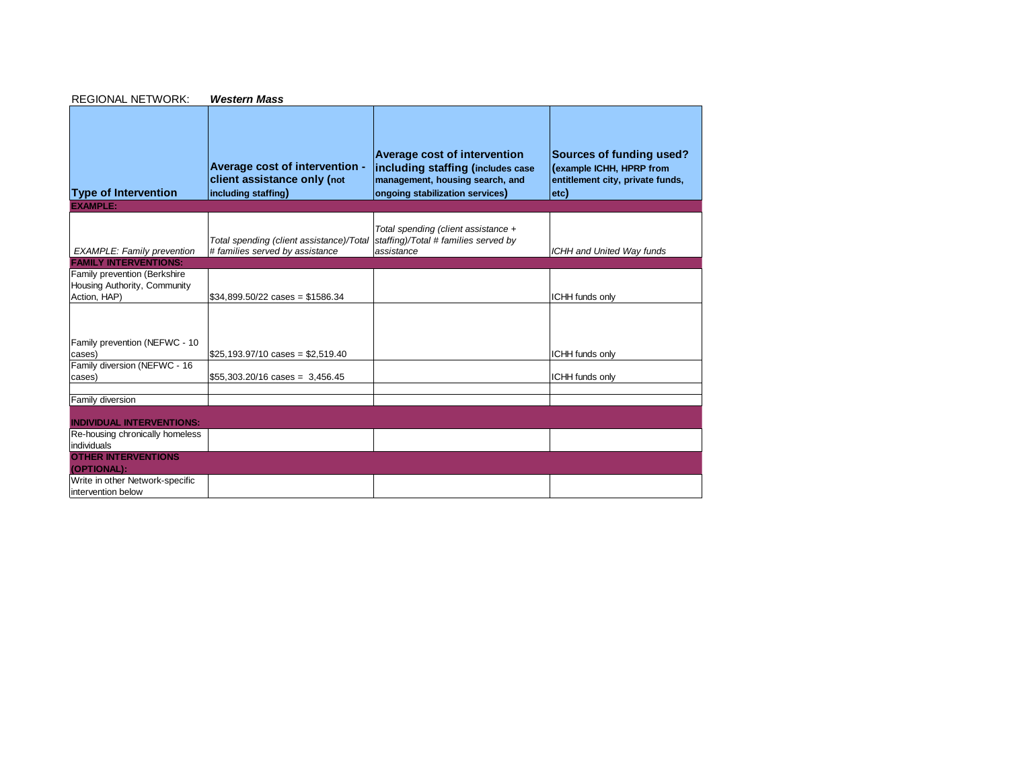| <b>REGIONAL NETWORK:</b>                                                     | <b>Western Mass</b>                                                                  |                                                                                                                                         |                                                                                                  |
|------------------------------------------------------------------------------|--------------------------------------------------------------------------------------|-----------------------------------------------------------------------------------------------------------------------------------------|--------------------------------------------------------------------------------------------------|
| <b>Type of Intervention</b>                                                  | Average cost of intervention -<br>client assistance only (not<br>including staffing) | Average cost of intervention<br>including staffing (includes case<br>management, housing search, and<br>ongoing stabilization services) | Sources of funding used?<br>(example ICHH, HPRP from<br>entitlement city, private funds,<br>etc) |
| <b>EXAMPLE:</b>                                                              |                                                                                      |                                                                                                                                         |                                                                                                  |
| <b>EXAMPLE: Family prevention</b>                                            | Total spending (client assistance)/Total<br># families served by assistance          | Total spending (client assistance +<br>staffing)/Total # families served by<br>assistance                                               | ICHH and United Way funds                                                                        |
| <b>FAMILY INTERVENTIONS:</b>                                                 |                                                                                      |                                                                                                                                         |                                                                                                  |
| Family prevention (Berkshire<br>Housing Authority, Community<br>Action, HAP) | $$34,899.50/22 \text{ cases} = $1586.34$                                             |                                                                                                                                         | ICHH funds only                                                                                  |
|                                                                              |                                                                                      |                                                                                                                                         |                                                                                                  |
| Family prevention (NEFWC - 10<br>cases)                                      | $$25.193.97/10 \text{ cases} = $2.519.40$                                            |                                                                                                                                         | ICHH funds only                                                                                  |
| Family diversion (NEFWC - 16<br>cases)                                       | $$55,303.20/16 \text{ cases} = 3,456.45$                                             |                                                                                                                                         | ICHH funds only                                                                                  |
| Family diversion                                                             |                                                                                      |                                                                                                                                         |                                                                                                  |
| <b>INDIVIDUAL INTERVENTIONS:</b>                                             |                                                                                      |                                                                                                                                         |                                                                                                  |
| Re-housing chronically homeless<br>individuals                               |                                                                                      |                                                                                                                                         |                                                                                                  |
| <b>OTHER INTERVENTIONS</b><br>(OPTIONAL):                                    |                                                                                      |                                                                                                                                         |                                                                                                  |
| Write in other Network-specific<br>intervention below                        |                                                                                      |                                                                                                                                         |                                                                                                  |